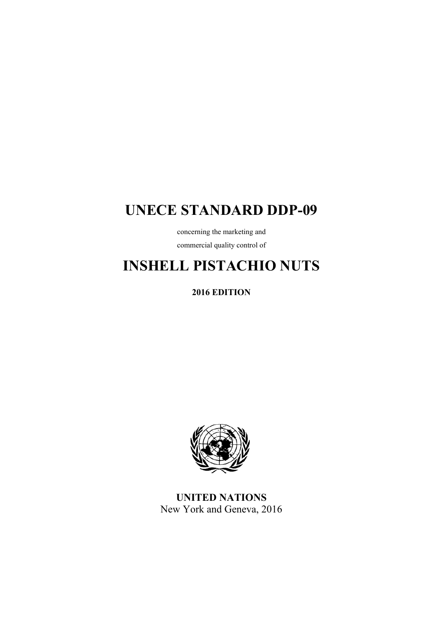# **UNECE STANDARD DDP-09**

concerning the marketing and commercial quality control of

# **INSHELL PISTACHIO NUTS**

**2016 EDITION** 



**UNITED NATIONS**  New York and Geneva, 2016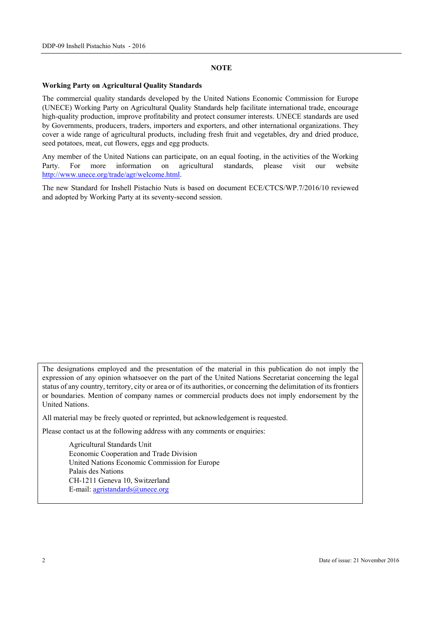#### **NOTE**

#### **Working Party on Agricultural Quality Standards**

The commercial quality standards developed by the United Nations Economic Commission for Europe (UNECE) Working Party on Agricultural Quality Standards help facilitate international trade, encourage high-quality production, improve profitability and protect consumer interests. UNECE standards are used by Governments, producers, traders, importers and exporters, and other international organizations. They cover a wide range of agricultural products, including fresh fruit and vegetables, dry and dried produce, seed potatoes, meat, cut flowers, eggs and egg products.

Any member of the United Nations can participate, on an equal footing, in the activities of the Working Party. For more information on agricultural standards, please visit our website http://www.unece.org/trade/agr/welcome.html.

The new Standard for Inshell Pistachio Nuts is based on document ECE/CTCS/WP.7/2016/10 reviewed and adopted by Working Party at its seventy-second session.

The designations employed and the presentation of the material in this publication do not imply the expression of any opinion whatsoever on the part of the United Nations Secretariat concerning the legal status of any country, territory, city or area or of its authorities, or concerning the delimitation of its frontiers or boundaries. Mention of company names or commercial products does not imply endorsement by the United Nations.

All material may be freely quoted or reprinted, but acknowledgement is requested.

Please contact us at the following address with any comments or enquiries:

 Agricultural Standards Unit Economic Cooperation and Trade Division United Nations Economic Commission for Europe Palais des Nations CH-1211 Geneva 10, Switzerland E-mail: agristandards@unece.org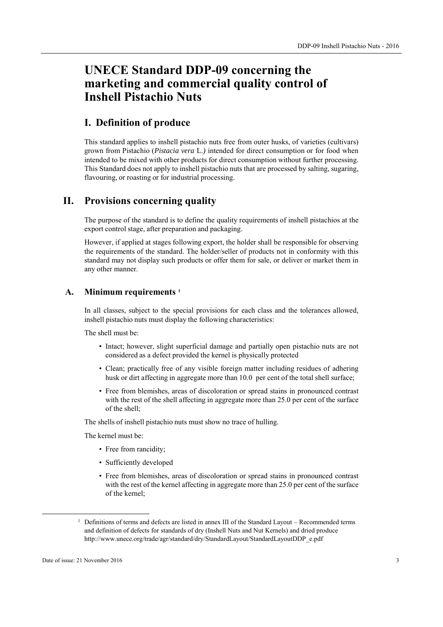# **UNECE Standard DDP-09 concerning the marketing and commercial quality control of Inshell Pistachio Nuts**

### **I. Definition of produce**

This standard applies to inshell pistachio nuts free from outer husks, of varieties (cultivars) grown from Pistachio (*Pistacia vera* L.*)* intended for direct consumption or for food when intended to be mixed with other products for direct consumption without further processing. This Standard does not apply to inshell pistachio nuts that are processed by salting, sugaring, flavouring, or roasting or for industrial processing.

### **II. Provisions concerning quality**

The purpose of the standard is to define the quality requirements of inshell pistachios at the export control stage, after preparation and packaging.

However, if applied at stages following export, the holder shall be responsible for observing the requirements of the standard. The holder/seller of products not in conformity with this standard may not display such products or offer them for sale, or deliver or market them in any other manner.

#### **A. Minimum requirements 1**

In all classes, subject to the special provisions for each class and the tolerances allowed, inshell pistachio nuts must display the following characteristics:

The shell must be:

- Intact; however, slight superficial damage and partially open pistachio nuts are not considered as a defect provided the kernel is physically protected
- Clean; practically free of any visible foreign matter including residues of adhering husk or dirt affecting in aggregate more than 10.0 per cent of the total shell surface;
- Free from blemishes, areas of discoloration or spread stains in pronounced contrast with the rest of the shell affecting in aggregate more than 25.0 per cent of the surface of the shell;

The shells of inshell pistachio nuts must show no trace of hulling.

The kernel must be:

- Free from rancidity;
- Sufficiently developed
- Free from blemishes, areas of discoloration or spread stains in pronounced contrast with the rest of the kernel affecting in aggregate more than 25.0 per cent of the surface of the kernel;

<sup>&</sup>lt;sup>1</sup> Definitions of terms and defects are listed in annex III of the Standard Layout – Recommended terms and definition of defects for standards of dry (Inshell Nuts and Nut Kernels) and dried produce http://www.unece.org/trade/agr/standard/dry/StandardLayout/StandardLayoutDDP\_e.pdf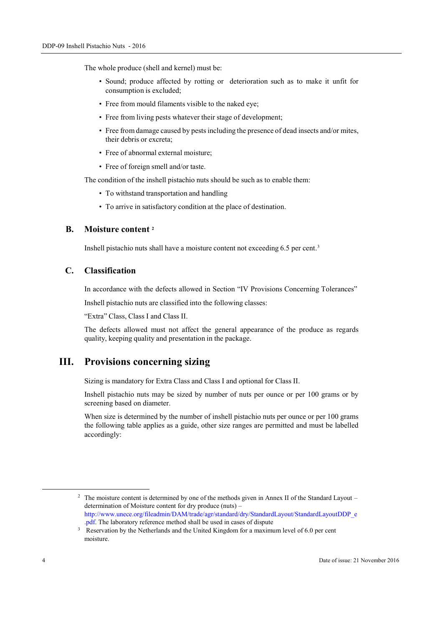The whole produce (shell and kernel) must be:

- Sound; produce affected by rotting or deterioration such as to make it unfit for consumption is excluded;
- Free from mould filaments visible to the naked eye;
- Free from living pests whatever their stage of development;
- Free from damage caused by pests including the presence of dead insects and/or mites, their debris or excreta;
- Free of abnormal external moisture:
- Free of foreign smell and/or taste.

The condition of the inshell pistachio nuts should be such as to enable them:

- To withstand transportation and handling
- To arrive in satisfactory condition at the place of destination.

#### **B. Moisture content 2**

Inshell pistachio nuts shall have a moisture content not exceeding 6.5 per cent.3

#### **C. Classification**

In accordance with the defects allowed in Section "IV Provisions Concerning Tolerances"

Inshell pistachio nuts are classified into the following classes:

"Extra" Class, Class I and Class II.

The defects allowed must not affect the general appearance of the produce as regards quality, keeping quality and presentation in the package.

## **III. Provisions concerning sizing**

Sizing is mandatory for Extra Class and Class I and optional for Class II.

Inshell pistachio nuts may be sized by number of nuts per ounce or per 100 grams or by screening based on diameter.

When size is determined by the number of inshell pistachio nuts per ounce or per 100 grams the following table applies as a guide, other size ranges are permitted and must be labelled accordingly:

<sup>2</sup> The moisture content is determined by one of the methods given in Annex II of the Standard Layout – determination of Moisture content for dry produce (nuts) – http://www.unece.org/fileadmin/DAM/trade/agr/standard/dry/StandardLayout/StandardLayoutDDP\_e .pdf. The laboratory reference method shall be used in cases of dispute 3 Reservation by the Netherlands and the United Kingdom for a maximum level of 6.0 per cent

moisture.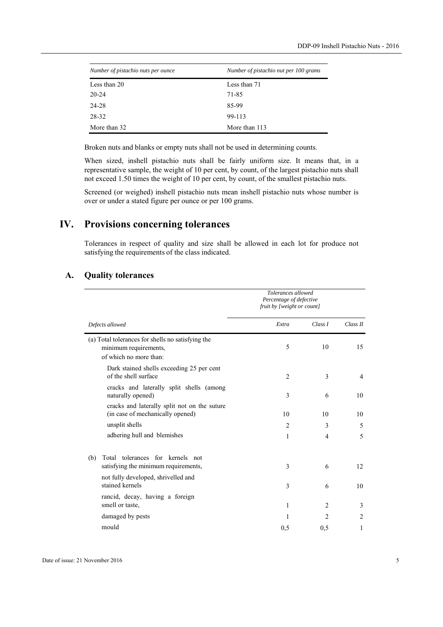| Number of pistachio nuts per ounce | Number of pistachio nut per 100 grams |  |  |
|------------------------------------|---------------------------------------|--|--|
| Less than 20                       | Less than 71                          |  |  |
| $20 - 24$                          | 71-85                                 |  |  |
| 24-28                              | 85-99                                 |  |  |
| 28-32                              | 99-113                                |  |  |
| More than 32                       | More than 113                         |  |  |

Broken nuts and blanks or empty nuts shall not be used in determining counts.

When sized, inshell pistachio nuts shall be fairly uniform size. It means that, in a representative sample, the weight of 10 per cent, by count, of the largest pistachio nuts shall not exceed 1.50 times the weight of 10 per cent, by count, of the smallest pistachio nuts.

Screened (or weighed) inshell pistachio nuts mean inshell pistachio nuts whose number is over or under a stated figure per ounce or per 100 grams.

# **IV. Provisions concerning tolerances**

Tolerances in respect of quality and size shall be allowed in each lot for produce not satisfying the requirements of the class indicated.

#### **A. Quality tolerances**

|                                                                                                      | Tolerances allowed<br>Percentage of defective<br>fruit by [weight or count] |                |          |
|------------------------------------------------------------------------------------------------------|-----------------------------------------------------------------------------|----------------|----------|
| Defects allowed                                                                                      | Extra                                                                       | Class I        | Class II |
| (a) Total tolerances for shells no satisfying the<br>minimum requirements,<br>of which no more than: | 5                                                                           | 10             | 15       |
| Dark stained shells exceeding 25 per cent<br>of the shell surface                                    | $\overline{2}$                                                              | 3              | 4        |
| cracks and laterally split shells (among<br>naturally opened)                                        | 3                                                                           | 6              | 10       |
| cracks and laterally split not on the suture<br>(in case of mechanically opened)                     | 10                                                                          | 10             | 10       |
| unsplit shells                                                                                       | $\overline{c}$                                                              | 3              | 5        |
| adhering hull and blemishes                                                                          | 1                                                                           | $\overline{4}$ | 5        |
| Total tolerances for kernels not<br>(b)<br>satisfying the minimum requirements,                      | 3                                                                           | 6              | 12       |
| not fully developed, shrivelled and<br>stained kernels                                               | 3                                                                           | 6              | 10       |
| rancid, decay, having a foreign<br>smell or taste,                                                   | 1                                                                           | $\overline{c}$ | 3        |
| damaged by pests                                                                                     | 1                                                                           | 2              | 2        |
| mould                                                                                                | 0,5                                                                         | 0,5            | 1        |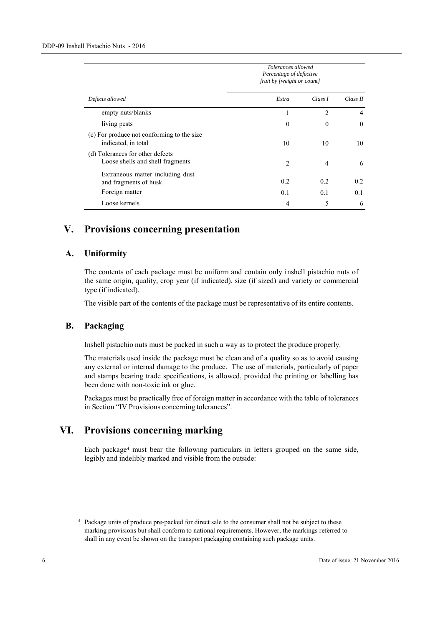|                                                                      | Tolerances allowed<br>Percentage of defective<br>fruit by [weight or count] |                |                |
|----------------------------------------------------------------------|-----------------------------------------------------------------------------|----------------|----------------|
| Defects allowed                                                      | Extra                                                                       | Class I        | Class II       |
| empty nuts/blanks                                                    |                                                                             | $\mathfrak{D}$ | $\overline{4}$ |
| living pests                                                         | $\Omega$                                                                    | $\theta$       | $\Omega$       |
| (c) For produce not conforming to the size<br>indicated, in total    | 10                                                                          | 10             | 10             |
| (d) Tolerances for other defects<br>Loose shells and shell fragments | $\mathcal{L}$                                                               | 4              | 6              |
| Extraneous matter including dust<br>and fragments of husk            | 0.2                                                                         | 0.2            | 0.2            |
| Foreign matter                                                       | 0.1                                                                         | 0.1            | 0.1            |
| Loose kernels                                                        | 4                                                                           | 5              | 6              |

# **V. Provisions concerning presentation**

#### **A. Uniformity**

The contents of each package must be uniform and contain only inshell pistachio nuts of the same origin, quality, crop year (if indicated), size (if sized) and variety or commercial type (if indicated).

The visible part of the contents of the package must be representative of its entire contents.

#### **B. Packaging**

Inshell pistachio nuts must be packed in such a way as to protect the produce properly.

The materials used inside the package must be clean and of a quality so as to avoid causing any external or internal damage to the produce. The use of materials, particularly of paper and stamps bearing trade specifications, is allowed, provided the printing or labelling has been done with non-toxic ink or glue.

Packages must be practically free of foreign matter in accordance with the table of tolerances in Section "IV Provisions concerning tolerances".

# **VI. Provisions concerning marking**

Each package4 must bear the following particulars in letters grouped on the same side, legibly and indelibly marked and visible from the outside:

<sup>&</sup>lt;sup>4</sup> Package units of produce pre-packed for direct sale to the consumer shall not be subject to these marking provisions but shall conform to national requirements. However, the markings referred to shall in any event be shown on the transport packaging containing such package units.